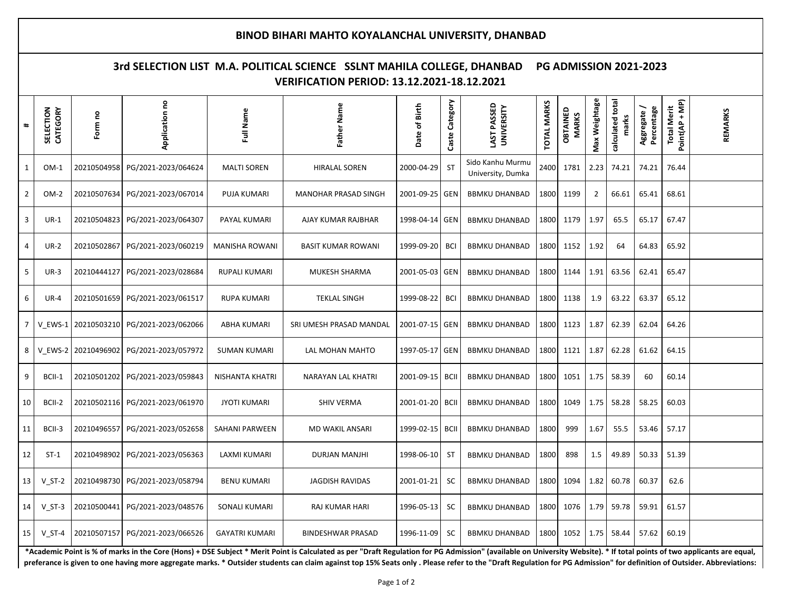## **BINOD BIHARI MAHTO KOYALANCHAL UNIVERSITY, DHANBAD**

## **3rd SELECTION LIST M.A. POLITICAL SCIENCE SSLNT MAHILA COLLEGE, DHANBAD PG ADMISSION 2021-2023 VERIFICATION PERIOD: 13.12.2021-18.12.2021**

| $\pmb{\ast}$   | SELECTION<br>CATEGORY | Form no     | Application no                  | Full Name              | Name<br><b>Father</b>       | Date of Birth | Caste Category | LAST PASSED<br><b>UNIVERSITY</b>      | <b>TOTAL MARKS</b> | OBTAINED<br><b>MARKS</b> | Max Weightage  | calculated total<br>marks | Percentage<br>Aggregate | Point(AP + MP)<br><b>Total Merit</b> | REMARKS |
|----------------|-----------------------|-------------|---------------------------------|------------------------|-----------------------------|---------------|----------------|---------------------------------------|--------------------|--------------------------|----------------|---------------------------|-------------------------|--------------------------------------|---------|
| $\mathbf{1}$   | $OM-1$                | 20210504958 | PG/2021-2023/064624             | <b>MALTI SOREN</b>     | <b>HIRALAL SOREN</b>        | 2000-04-29    | <b>ST</b>      | Sido Kanhu Murmu<br>University, Dumka | 2400               | 1781                     | 2.23           | 74.21                     | 74.21                   | 76.44                                |         |
| $\overline{2}$ | $OM-2$                | 20210507634 | PG/2021-2023/067014             | <b>PUJA KUMARI</b>     | <b>MANOHAR PRASAD SINGH</b> | 2001-09-25    | GEN            | <b>BBMKU DHANBAD</b>                  | 1800               | 1199                     | $\overline{2}$ | 66.61                     | 65.41                   | 68.61                                |         |
| $\overline{3}$ | $UR-1$                | 20210504823 | PG/2021-2023/064307             | PAYAL KUMARI           | AJAY KUMAR RAJBHAR          | 1998-04-14    | <b>GEN</b>     | <b>BBMKU DHANBAD</b>                  | 1800               | 1179                     | 1.97           | 65.5                      | 65.17                   | 67.47                                |         |
| 4              | <b>UR-2</b>           | 20210502867 | PG/2021-2023/060219             | <b>MANISHA ROWANI</b>  | <b>BASIT KUMAR ROWANI</b>   | 1999-09-20    | <b>BCI</b>     | <b>BBMKU DHANBAD</b>                  | 1800               | 1152                     | 1.92           | 64                        | 64.83                   | 65.92                                |         |
| 5              | $UR-3$                | 20210444127 | PG/2021-2023/028684             | <b>RUPALI KUMARI</b>   | MUKESH SHARMA               | 2001-05-03    | <b>GEN</b>     | <b>BBMKU DHANBAD</b>                  | 1800               | 1144                     | 1.91           | 63.56                     | 62.41                   | 65.47                                |         |
| 6              | $UR-4$                | 20210501659 | PG/2021-2023/061517             | <b>RUPA KUMARI</b>     | <b>TEKLAL SINGH</b>         | 1999-08-22    | <b>BCI</b>     | <b>BBMKU DHANBAD</b>                  | 1800               | 1138                     | 1.9            | 63.22                     | 63.37                   | 65.12                                |         |
| $\overline{7}$ | V EWS-1               | 20210503210 | PG/2021-2023/062066             | <b>ABHA KUMARI</b>     | SRI UMESH PRASAD MANDAL     | 2001-07-15    | <b>GEN</b>     | <b>BBMKU DHANBAD</b>                  | 1800               | 1123                     | 1.87           | 62.39                     | 62.04                   | 64.26                                |         |
| 8              | V EWS-2               | 20210496902 | PG/2021-2023/057972             | SUMAN KUMARI           | LAL MOHAN MAHTO             | 1997-05-17    | GEN            | <b>BBMKU DHANBAD</b>                  | 1800               | 1121                     | 1.87           | 62.28                     | 61.62                   | 64.15                                |         |
| 9              | BCII-1                | 20210501202 | PG/2021-2023/059843             | <b>NISHANTA KHATRI</b> | NARAYAN LAL KHATRI          | 2001-09-15    | <b>BCII</b>    | <b>BBMKU DHANBAD</b>                  | 1800               | 1051                     | 1.75           | 58.39                     | 60                      | 60.14                                |         |
| 10             | BCII-2                | 20210502116 | PG/2021-2023/061970             | <b>JYOTI KUMARI</b>    | <b>SHIV VERMA</b>           | 2001-01-20    | <b>BCII</b>    | <b>BBMKU DHANBAD</b>                  | 1800               | 1049                     | 1.75           | 58.28                     | 58.25                   | 60.03                                |         |
| 11             | BCII-3                | 20210496557 | PG/2021-2023/052658             | <b>SAHANI PARWEEN</b>  | <b>MD WAKIL ANSARI</b>      | 1999-02-15    | <b>BCII</b>    | <b>BBMKU DHANBAD</b>                  | 1800               | 999                      | 1.67           | 55.5                      | 53.46                   | 57.17                                |         |
| 12             | $ST-1$                | 20210498902 | PG/2021-2023/056363             | LAXMI KUMARI           | DURJAN MANJHI               | 1998-06-10    | ST             | <b>BBMKU DHANBAD</b>                  | 1800               | 898                      | 1.5            | 49.89                     | 50.33                   | 51.39                                |         |
| 13             | $V ST-2$              | 20210498730 | PG/2021-2023/058794             | <b>BENU KUMARI</b>     | <b>JAGDISH RAVIDAS</b>      | 2001-01-21    | SC             | <b>BBMKU DHANBAD</b>                  | 1800               | 1094                     | 1.82           | 60.78                     | 60.37                   | 62.6                                 |         |
| 14             | $V$ ST-3              | 20210500441 | PG/2021-2023/048576             | <b>SONALI KUMARI</b>   | RAJ KUMAR HARI              | 1996-05-13    | <b>SC</b>      | <b>BBMKU DHANBAD</b>                  | 1800               | 1076                     | 1.79           | 59.78                     | 59.91                   | 61.57                                |         |
| 15             | $V ST-4$              |             | 20210507157 PG/2021-2023/066526 | <b>GAYATRI KUMARI</b>  | <b>BINDESHWAR PRASAD</b>    | 1996-11-09    | <b>SC</b>      | <b>BBMKU DHANBAD</b>                  | 1800               | 1052                     | 1.75           | 58.44                     | 57.62                   | 60.19                                |         |

**\*Academic Point is % of marks in the Core (Hons) + DSE Subject \* Merit Point is Calculated as per "Draft Regulation for PG Admission" (available on University Website). \* If total points of two applicants are equal,**  preferance is given to one having more aggregate marks. \* Outsider students can claim against top 15% Seats only . Please refer to the "Draft Regulation for PG Admission" for definition of Outsider. Abbreviations: